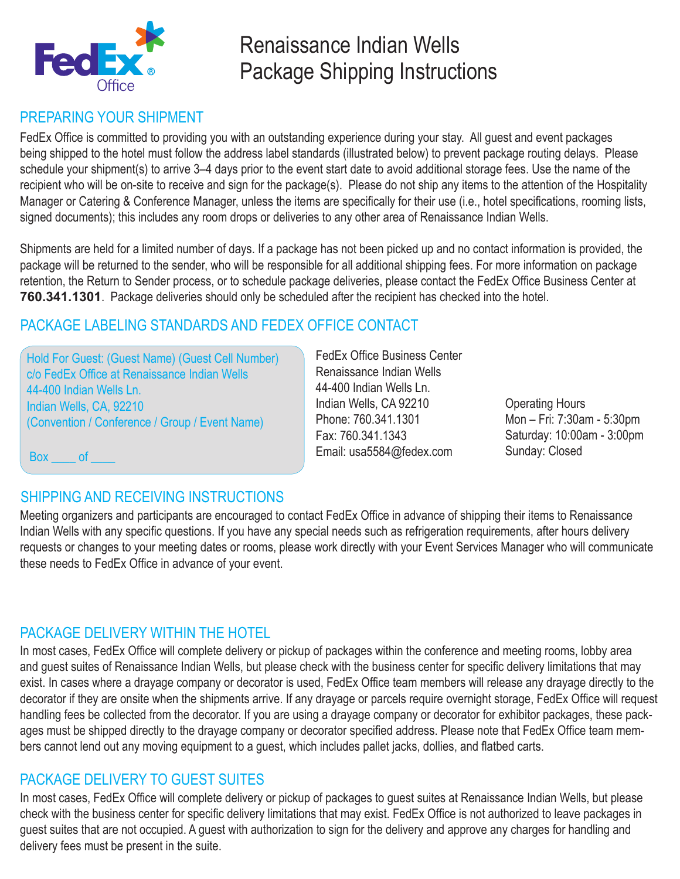

# Renaissance Indian Wells Package Shipping Instructions

# PREPARING YOUR SHIPMENT

FedEx Office is committed to providing you with an outstanding experience during your stay. All guest and event packages being shipped to the hotel must follow the address label standards (illustrated below) to prevent package routing delays. Please schedule your shipment(s) to arrive 3–4 days prior to the event start date to avoid additional storage fees. Use the name of the recipient who will be on-site to receive and sign for the package(s). Please do not ship any items to the attention of the Hospitality Manager or Catering & Conference Manager, unless the items are specifically for their use (i.e., hotel specifications, rooming lists, signed documents); this includes any room drops or deliveries to any other area of Renaissance Indian Wells.

Shipments are held for a limited number of days. If a package has not been picked up and no contact information is provided, the package will be returned to the sender, who will be responsible for all additional shipping fees. For more information on package retention, the Return to Sender process, or to schedule package deliveries, please contact the FedEx Office Business Center at **760.341.1301**. Package deliveries should only be scheduled after the recipient has checked into the hotel.

# PACKAGE LABELING STANDARDS AND FEDEX OFFICE CONTACT

Hold For Guest: (Guest Name) (Guest Cell Number) c/o FedEx Office at Renaissance Indian Wells 44-400 Indian Wells Ln. Indian Wells, CA, 92210 (Convention / Conference / Group / Event Name)

FedEx Office Business Center Renaissance Indian Wells 44-400 Indian Wells Ln. Indian Wells, CA 92210 Phone: 760.341.1301 Fax: 760.341.1343 Email: usa5584@fedex.com

Operating Hours Mon – Fri: 7:30am - 5:30pm Saturday: 10:00am - 3:00pm Sunday: Closed

Box of

# SHIPPING AND RECEIVING INSTRUCTIONS

Meeting organizers and participants are encouraged to contact FedEx Office in advance of shipping their items to Renaissance Indian Wells with any specific questions. If you have any special needs such as refrigeration requirements, after hours delivery requests or changes to your meeting dates or rooms, please work directly with your Event Services Manager who will communicate these needs to FedEx Office in advance of your event.

# PACKAGE DELIVERY WITHIN THE HOTEL

In most cases, FedEx Office will complete delivery or pickup of packages within the conference and meeting rooms, lobby area and guest suites of Renaissance Indian Wells, but please check with the business center for specific delivery limitations that may exist. In cases where a drayage company or decorator is used, FedEx Office team members will release any drayage directly to the decorator if they are onsite when the shipments arrive. If any drayage or parcels require overnight storage, FedEx Office will request handling fees be collected from the decorator. If you are using a drayage company or decorator for exhibitor packages, these packages must be shipped directly to the drayage company or decorator specified address. Please note that FedEx Office team members cannot lend out any moving equipment to a guest, which includes pallet jacks, dollies, and flatbed carts.

# PACKAGE DELIVERY TO GUEST SUITES

In most cases, FedEx Office will complete delivery or pickup of packages to guest suites at Renaissance Indian Wells, but please check with the business center for specific delivery limitations that may exist. FedEx Office is not authorized to leave packages in guest suites that are not occupied. A guest with authorization to sign for the delivery and approve any charges for handling and delivery fees must be present in the suite.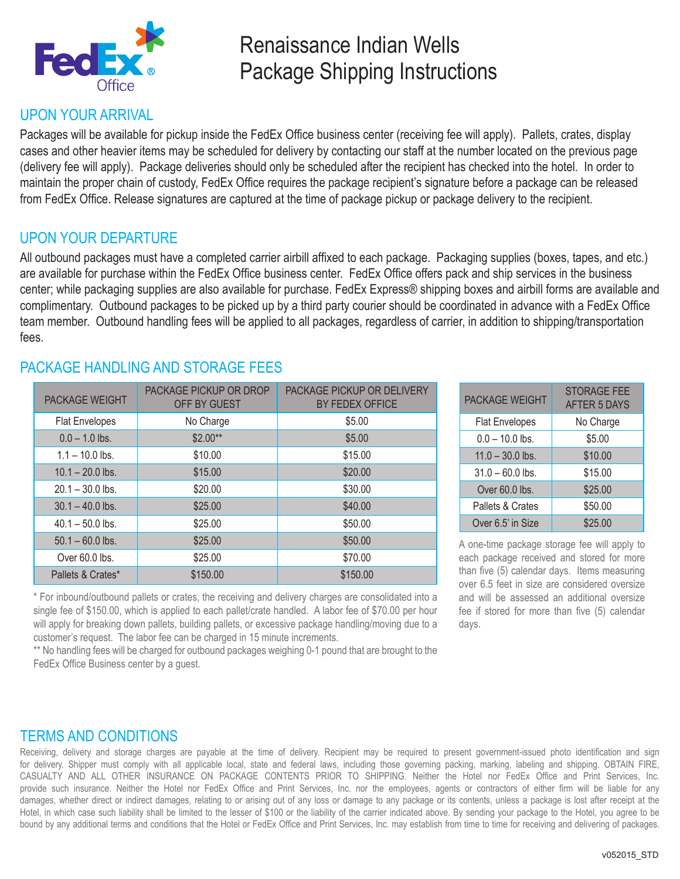

# Renaissance Indian Wells Package Shipping Instructions

### UPON YOUR ARRIVAL

Packages will be available for pickup inside the FedEx Office business center (receiving fee will apply). Pallets, crates, display cases and other heavier items may be scheduled for delivery by contacting our staff at the number located on the previous page (delivery fee will apply). Package deliveries should only be scheduled after the recipient has checked into the hotel. In order to maintain the proper chain of custody, FedEx Office requires the package recipient's signature before a package can be released from FedEx Office. Release signatures are captured at the time of package pickup or package delivery to the recipient.

### UPON YOUR DEPARTURE

All outbound packages must have a completed carrier airbill affixed to each package. Packaging supplies (boxes, tapes, and etc.) are available for purchase within the FedEx Office business center. FedEx Office offers pack and ship services in the business center; while packaging supplies are also available for purchase. FedEx Express® shipping boxes and airbill forms are available and complimentary. Outbound packages to be picked up by a third party courier should be coordinated in advance with a FedEx Office team member. Outbound handling fees will be applied to all packages, regardless of carrier, in addition to shipping/transportation fees.

## PACKAGE HANDLING AND STORAGE FFES

| <b>PACKAGE WEIGHT</b> | <b>PACKAGE PICKUP OR DROP</b><br>OFF BY GUEST | <b>PACKAGE PICKUP OR DELIVERY</b><br>BY FEDEX OFFICE |
|-----------------------|-----------------------------------------------|------------------------------------------------------|
| <b>Flat Envelopes</b> | No Charge                                     | \$5.00                                               |
| $0.0 - 1.0$ lbs.      | $$2.00**$                                     | \$5.00                                               |
| $1.1 - 10.0$ lbs.     | \$10.00                                       | \$15.00                                              |
| $10.1 - 20.0$ lbs.    | \$15.00                                       | \$20.00                                              |
| $20.1 - 30.0$ lbs.    | \$20.00                                       | \$30.00                                              |
| $30.1 - 40.0$ lbs.    | \$25.00                                       | \$40.00                                              |
| $40.1 - 50.0$ lbs.    | \$25.00                                       | \$50.00                                              |
| $50.1 - 60.0$ lbs.    | \$25.00                                       | \$50.00                                              |
| Over 60.0 lbs.        | \$25.00                                       | \$70.00                                              |
| Pallets & Crates*     | \$150.00                                      | \$150.00                                             |

| <b>PACKAGE WEIGHT</b> | <b>STORAGE FEE</b><br><b>AFTER 5 DAYS</b> |
|-----------------------|-------------------------------------------|
| <b>Flat Envelopes</b> | No Charge                                 |
| $0.0 - 10.0$ lbs.     | \$5.00                                    |
| $11.0 - 30.0$ lbs.    | \$10.00                                   |
| $31.0 - 60.0$ lbs.    | \$15.00                                   |
| Over 60.0 lbs.        | \$25.00                                   |
| Pallets & Crates      | \$50.00                                   |
| Over 6.5' in Size     | \$25.00                                   |

A one-time package storage fee will apply to each package received and stored for more than five (5) calendar days. Items measuring over 6.5 feet in size are considered oversize and will be assessed an additional oversize fee if stored for more than five (5) calendar days.

\* For inbound/outbound pallets or crates, the receiving and delivery charges are consolidated into a single fee of \$150.00, which is applied to each pallet/crate handled. A labor fee of \$70.00 per hour will apply for breaking down pallets, building pallets, or excessive package handling/moving due to a customer's request. The labor fee can be charged in 15 minute increments.

\*\* No handling fees will be charged for outbound packages weighing 0-1 pound that are brought to the FedEx Office Business center by a guest.

## TERMS AND CONDITIONS

Receiving, delivery and storage charges are payable at the time of delivery. Recipient may be required to present government-issued photo identification and sign for delivery. Shipper must comply with all applicable local, state and federal laws, including those governing packing, marking, labeling and shipping. OBTAIN FIRE, CASUALTY AND ALL OTHER INSURANCE ON PACKAGE CONTENTS PRIOR TO SHIPPING. Neither the Hotel nor FedEx Office and Print Services, Inc. provide such insurance. Neither the Hotel nor FedEx Office and Print Services, Inc. nor the employees, agents or contractors of either firm will be liable for any damages, whether direct or indirect damages, relating to or arising out of any loss or damage to any package or its contents, unless a package is lost after receipt at the Hotel, in which case such liability shall be limited to the lesser of \$100 or the liability of the carrier indicated above. By sending your package to the Hotel, you agree to be bound by any additional terms and conditions that the Hotel or FedEx Office and Print Services, Inc. may establish from time to time for receiving and delivering of packages.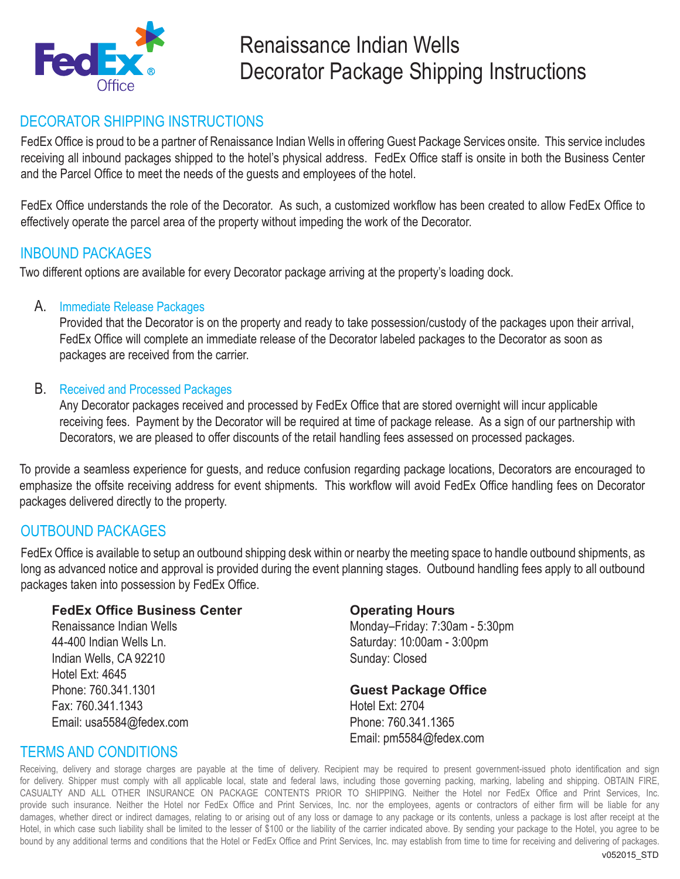

# Renaissance Indian Wells Decorator Package Shipping Instructions

## DECORATOR SHIPPING INSTRUCTIONS

FedEx Office is proud to be a partner of Renaissance Indian Wells in offering Guest Package Services onsite. This service includes receiving all inbound packages shipped to the hotel's physical address. FedEx Office staff is onsite in both the Business Center and the Parcel Office to meet the needs of the guests and employees of the hotel.

FedEx Office understands the role of the Decorator. As such, a customized workflow has been created to allow FedEx Office to effectively operate the parcel area of the property without impeding the work of the Decorator.

#### INBOUND PACKAGES

Two different options are available for every Decorator package arriving at the property's loading dock.

#### A. Immediate Release Packages

Provided that the Decorator is on the property and ready to take possession/custody of the packages upon their arrival, FedEx Office will complete an immediate release of the Decorator labeled packages to the Decorator as soon as packages are received from the carrier.

#### B. Received and Processed Packages

Any Decorator packages received and processed by FedEx Office that are stored overnight will incur applicable receiving fees. Payment by the Decorator will be required at time of package release. As a sign of our partnership with Decorators, we are pleased to offer discounts of the retail handling fees assessed on processed packages.

To provide a seamless experience for guests, and reduce confusion regarding package locations, Decorators are encouraged to emphasize the offsite receiving address for event shipments. This workflow will avoid FedEx Office handling fees on Decorator packages delivered directly to the property.

### OUTBOUND PACKAGES

FedEx Office is available to setup an outbound shipping desk within or nearby the meeting space to handle outbound shipments, as long as advanced notice and approval is provided during the event planning stages. Outbound handling fees apply to all outbound packages taken into possession by FedEx Office.

#### **FedEx Office Business Center**

Renaissance Indian Wells 44-400 Indian Wells Ln. Indian Wells, CA 92210 Hotel Ext: 4645 Phone: 760.341.1301 Fax: 760.341.1343 Email: usa5584@fedex.com

#### **Operating Hours**

Monday–Friday: 7:30am - 5:30pm Saturday: 10:00am - 3:00pm Sunday: Closed

#### **Guest Package Office**

Hotel Ext: 2704 Phone: 760.341.1365 Email: pm5584@fedex.com

### TERMS AND CONDITIONS

Receiving, delivery and storage charges are payable at the time of delivery. Recipient may be required to present government-issued photo identification and sign for delivery. Shipper must comply with all applicable local, state and federal laws, including those governing packing, marking, labeling and shipping. OBTAIN FIRE, CASUALTY AND ALL OTHER INSURANCE ON PACKAGE CONTENTS PRIOR TO SHIPPING. Neither the Hotel nor FedEx Office and Print Services, Inc. provide such insurance. Neither the Hotel nor FedEx Office and Print Services, Inc. nor the employees, agents or contractors of either firm will be liable for any damages, whether direct or indirect damages, relating to or arising out of any loss or damage to any package or its contents, unless a package is lost after receipt at the Hotel, in which case such liability shall be limited to the lesser of \$100 or the liability of the carrier indicated above. By sending your package to the Hotel, you agree to be bound by any additional terms and conditions that the Hotel or FedEx Office and Print Services, Inc. may establish from time to time for receiving and delivering of packages.